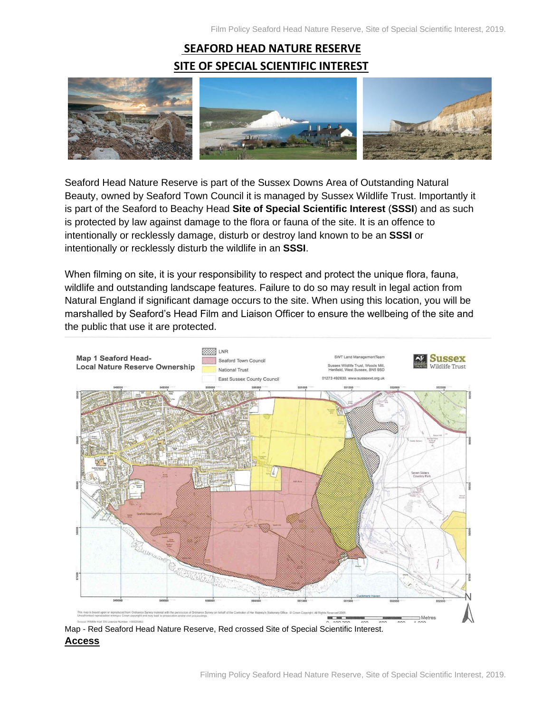# **SEAFORD HEAD NATURE RESERVE SITE OF SPECIAL SCIENTIFIC INTEREST**



Seaford Head Nature Reserve is part of the Sussex Downs Area of Outstanding Natural Beauty, owned by Seaford Town Council it is managed by Sussex Wildlife Trust. Importantly it is part of the Seaford to Beachy Head **Site of Special Scientific Interest** (**SSSI**) and as such is protected by law against damage to the flora or fauna of the site. It is an offence to intentionally or recklessly damage, disturb or destroy land known to be an **SSSI** or intentionally or recklessly disturb the wildlife in an **SSSI**.

When filming on site, it is your responsibility to respect and protect the unique flora, fauna, wildlife and outstanding landscape features. Failure to do so may result in legal action from Natural England if significant damage occurs to the site. When using this location, you will be marshalled by Seaford's Head Film and Liaison Officer to ensure the wellbeing of the site and the public that use it are protected.



Map - Red Seaford Head Nature Reserve, Red crossed Site of Special Scientific Interest. **Access**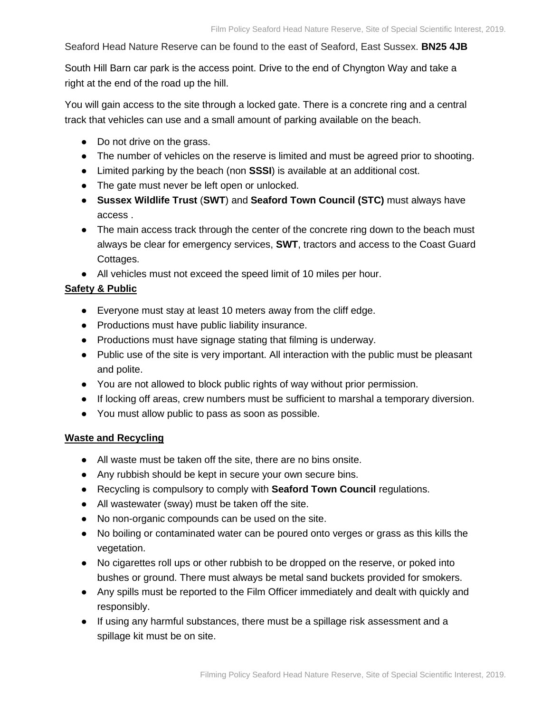Seaford Head Nature Reserve can be found to the east of Seaford, East Sussex. **BN25 4JB**

South Hill Barn car park is the access point. Drive to the end of Chyngton Way and take a right at the end of the road up the hill.

You will gain access to the site through a locked gate. There is a concrete ring and a central track that vehicles can use and a small amount of parking available on the beach.

- Do not drive on the grass.
- The number of vehicles on the reserve is limited and must be agreed prior to shooting.
- Limited parking by the beach (non **SSSI**) is available at an additional cost.
- The gate must never be left open or unlocked.
- **Sussex Wildlife Trust** (**SWT**) and **Seaford Town Council (STC)** must always have access .
- The main access track through the center of the concrete ring down to the beach must always be clear for emergency services, **SWT**, tractors and access to the Coast Guard Cottages.
- All vehicles must not exceed the speed limit of 10 miles per hour.

### **Safety & Public**

- Everyone must stay at least 10 meters away from the cliff edge.
- Productions must have public liability insurance.
- Productions must have signage stating that filming is underway.
- Public use of the site is very important. All interaction with the public must be pleasant and polite.
- You are not allowed to block public rights of way without prior permission.
- If locking off areas, crew numbers must be sufficient to marshal a temporary diversion.
- You must allow public to pass as soon as possible.

#### **Waste and Recycling**

- All waste must be taken off the site, there are no bins onsite.
- Any rubbish should be kept in secure your own secure bins.
- Recycling is compulsory to comply with **Seaford Town Council** regulations.
- All wastewater (sway) must be taken off the site.
- No non-organic compounds can be used on the site.
- No boiling or contaminated water can be poured onto verges or grass as this kills the vegetation.
- No cigarettes roll ups or other rubbish to be dropped on the reserve, or poked into bushes or ground. There must always be metal sand buckets provided for smokers.
- Any spills must be reported to the Film Officer immediately and dealt with quickly and responsibly.
- If using any harmful substances, there must be a spillage risk assessment and a spillage kit must be on site.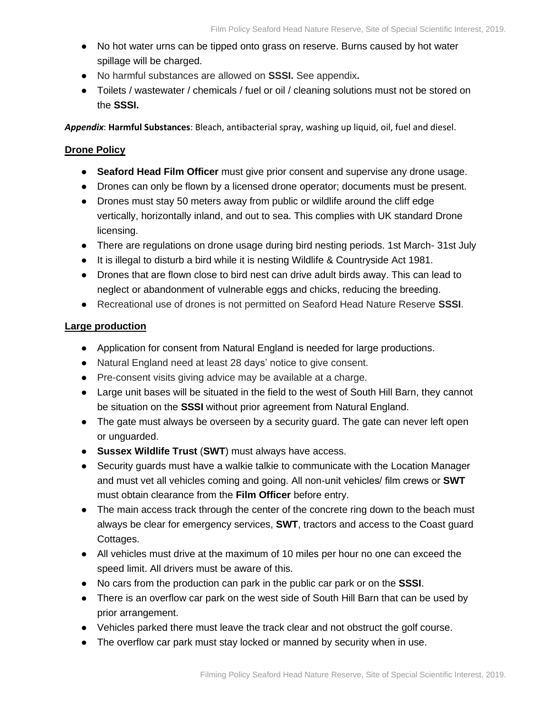- No hot water urns can be tipped onto grass on reserve. Burns caused by hot water spillage will be charged.
- No harmful substances are allowed on **SSSI.** See appendix**.**
- Toilets / wastewater / chemicals / fuel or oil / cleaning solutions must not be stored on the **SSSI.**

*Appendix*: **Harmful Substances**: Bleach, antibacterial spray, washing up liquid, oil, fuel and diesel.

# **Drone Policy**

- **Seaford Head Film Officer** must give prior consent and supervise any drone usage.
- Drones can only be flown by a licensed drone operator; documents must be present.
- Drones must stay 50 meters away from public or wildlife around the cliff edge vertically, horizontally inland, and out to sea. This complies with UK standard Drone licensing.
- There are regulations on drone usage during bird nesting periods. 1st March-31st July
- It is illegal to disturb a bird while it is nesting Wildlife & Countryside Act 1981.
- Drones that are flown close to bird nest can drive adult birds away. This can lead to neglect or abandonment of vulnerable eggs and chicks, reducing the breeding.
- Recreational use of drones is not permitted on Seaford Head Nature Reserve **SSSI**.

## **Large production**

- Application for consent from Natural England is needed for large productions.
- Natural England need at least 28 days' notice to give consent.
- Pre-consent visits giving advice may be available at a charge.
- Large unit bases will be situated in the field to the west of South Hill Barn, they cannot be situation on the **SSSI** without prior agreement from Natural England.
- The gate must always be overseen by a security guard. The gate can never left open or unguarded.
- **Sussex Wildlife Trust** (**SWT**) must always have access.
- Security quards must have a walkie talkie to communicate with the Location Manager and must vet all vehicles coming and going. All non-unit vehicles/ film crews or **SWT** must obtain clearance from the **Film Officer** before entry.
- The main access track through the center of the concrete ring down to the beach must always be clear for emergency services, **SWT**, tractors and access to the Coast guard Cottages.
- All vehicles must drive at the maximum of 10 miles per hour no one can exceed the speed limit. All drivers must be aware of this.
- No cars from the production can park in the public car park or on the **SSSI**.
- There is an overflow car park on the west side of South Hill Barn that can be used by prior arrangement.
- Vehicles parked there must leave the track clear and not obstruct the golf course.
- The overflow car park must stay locked or manned by security when in use.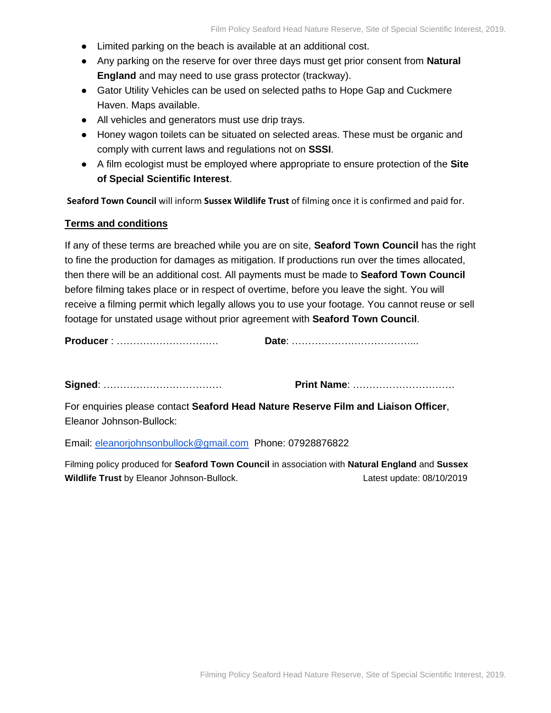- Limited parking on the beach is available at an additional cost.
- Any parking on the reserve for over three days must get prior consent from **Natural England** and may need to use grass protector (trackway).
- Gator Utility Vehicles can be used on selected paths to Hope Gap and Cuckmere Haven. Maps available.
- All vehicles and generators must use drip trays.
- Honey wagon toilets can be situated on selected areas. These must be organic and comply with current laws and regulations not on **SSSI**.
- A film ecologist must be employed where appropriate to ensure protection of the **Site of Special Scientific Interest**.

**Seaford Town Council** will inform **Sussex Wildlife Trust** of filming once it is confirmed and paid for.

#### **Terms and conditions**

If any of these terms are breached while you are on site, **Seaford Town Council** has the right to fine the production for damages as mitigation. If productions run over the times allocated, then there will be an additional cost. All payments must be made to **Seaford Town Council** before filming takes place or in respect of overtime, before you leave the sight. You will receive a filming permit which legally allows you to use your footage. You cannot reuse or sell footage for unstated usage without prior agreement with **Seaford Town Council**.

**Producer** : …………………………. **Date**: ………………………………...

**Signed**: ……………………………… **Print Name**: ………………………….

For enquiries please contact **Seaford Head Nature Reserve Film and Liaison Officer**, Eleanor Johnson-Bullock:

Email: [eleanorjohnsonbullock@gmail.com](mailto:eleanorjohnsonbullock@gmail.com) Phone: 07928876822

Filming policy produced for **Seaford Town Council** in association with **Natural England** and **Sussex Wildlife Trust** by Eleanor Johnson-Bullock. Latest update: 08/10/2019